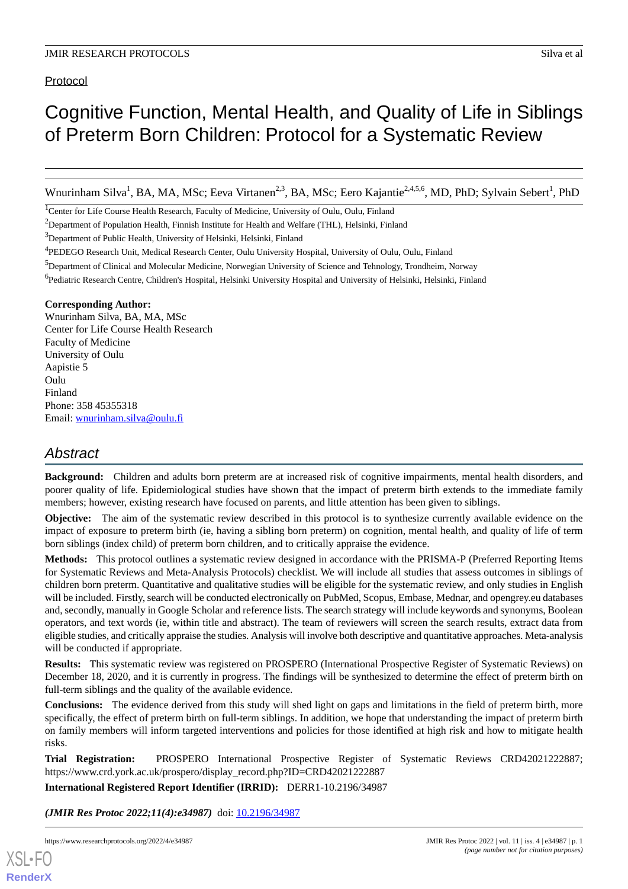# Protocol

# Cognitive Function, Mental Health, and Quality of Life in Siblings of Preterm Born Children: Protocol for a Systematic Review

Wnurinham Silva<sup>1</sup>, BA, MA, MSc; Eeva Virtanen<sup>2,3</sup>, BA, MSc; Eero Kajantie<sup>2,4,5,6</sup>, MD, PhD; Sylvain Sebert<sup>1</sup>, PhD

<sup>1</sup>Center for Life Course Health Research, Faculty of Medicine, University of Oulu, Oulu, Finland

<sup>2</sup>Department of Population Health, Finnish Institute for Health and Welfare (THL), Helsinki, Finland

<sup>3</sup>Department of Public Health, University of Helsinki, Helsinki, Finland

<sup>5</sup>Department of Clinical and Molecular Medicine, Norwegian University of Science and Tehnology, Trondheim, Norway

<sup>6</sup>Pediatric Research Centre, Children's Hospital, Helsinki University Hospital and University of Helsinki, Helsinki, Finland

#### **Corresponding Author:**

Wnurinham Silva, BA, MA, MSc Center for Life Course Health Research Faculty of Medicine University of Oulu Aapistie 5 Oulu Finland Phone: 358 45355318 Email: [wnurinham.silva@oulu.fi](mailto:wnurinham.silva@oulu.fi)

# *Abstract*

**Background:** Children and adults born preterm are at increased risk of cognitive impairments, mental health disorders, and poorer quality of life. Epidemiological studies have shown that the impact of preterm birth extends to the immediate family members; however, existing research have focused on parents, and little attention has been given to siblings.

**Objective:** The aim of the systematic review described in this protocol is to synthesize currently available evidence on the impact of exposure to preterm birth (ie, having a sibling born preterm) on cognition, mental health, and quality of life of term born siblings (index child) of preterm born children, and to critically appraise the evidence.

**Methods:** This protocol outlines a systematic review designed in accordance with the PRISMA-P (Preferred Reporting Items for Systematic Reviews and Meta-Analysis Protocols) checklist. We will include all studies that assess outcomes in siblings of children born preterm. Quantitative and qualitative studies will be eligible for the systematic review, and only studies in English will be included. Firstly, search will be conducted electronically on PubMed, Scopus, Embase, Mednar, and opengrey.eu databases and, secondly, manually in Google Scholar and reference lists. The search strategy will include keywords and synonyms, Boolean operators, and text words (ie, within title and abstract). The team of reviewers will screen the search results, extract data from eligible studies, and critically appraise the studies. Analysis will involve both descriptive and quantitative approaches. Meta-analysis will be conducted if appropriate.

**Results:** This systematic review was registered on PROSPERO (International Prospective Register of Systematic Reviews) on December 18, 2020, and it is currently in progress. The findings will be synthesized to determine the effect of preterm birth on full-term siblings and the quality of the available evidence.

**Conclusions:** The evidence derived from this study will shed light on gaps and limitations in the field of preterm birth, more specifically, the effect of preterm birth on full-term siblings. In addition, we hope that understanding the impact of preterm birth on family members will inform targeted interventions and policies for those identified at high risk and how to mitigate health risks.

**Trial Registration:** PROSPERO International Prospective Register of Systematic Reviews CRD42021222887; https://www.crd.york.ac.uk/prospero/display\_record.php?ID=CRD42021222887

**International Registered Report Identifier (IRRID):** DERR1-10.2196/34987

(JMIR Res Protoc 2022;11(4):e34987) doi: [10.2196/34987](http://dx.doi.org/10.2196/34987)

[XSL](http://www.w3.org/Style/XSL)•FO **[RenderX](http://www.renderx.com/)**

<sup>4</sup> PEDEGO Research Unit, Medical Research Center, Oulu University Hospital, University of Oulu, Oulu, Finland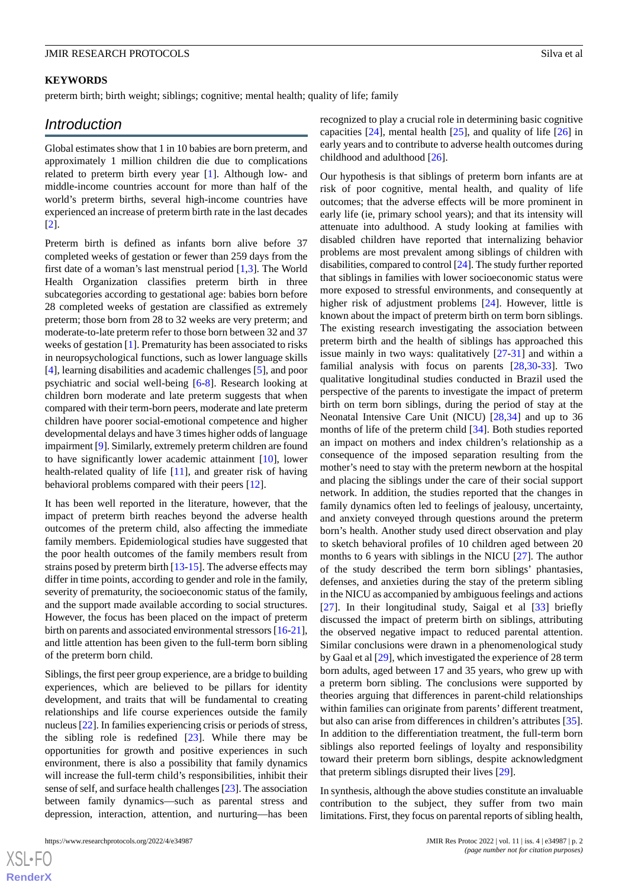#### **KEYWORDS**

preterm birth; birth weight; siblings; cognitive; mental health; quality of life; family

# *Introduction*

Global estimates show that 1 in 10 babies are born preterm, and approximately 1 million children die due to complications related to preterm birth every year [[1\]](#page-4-0). Although low- and middle-income countries account for more than half of the world's preterm births, several high-income countries have experienced an increase of preterm birth rate in the last decades [[2\]](#page-4-1).

Preterm birth is defined as infants born alive before 37 completed weeks of gestation or fewer than 259 days from the first date of a woman's last menstrual period [[1,](#page-4-0)[3](#page-4-2)]. The World Health Organization classifies preterm birth in three subcategories according to gestational age: babies born before 28 completed weeks of gestation are classified as extremely preterm; those born from 28 to 32 weeks are very preterm; and moderate-to-late preterm refer to those born between 32 and 37 weeks of gestation [\[1](#page-4-0)]. Prematurity has been associated to risks in neuropsychological functions, such as lower language skills [[4\]](#page-4-3), learning disabilities and academic challenges [[5\]](#page-4-4), and poor psychiatric and social well-being [\[6](#page-5-0)[-8\]](#page-5-1). Research looking at children born moderate and late preterm suggests that when compared with their term-born peers, moderate and late preterm children have poorer social-emotional competence and higher developmental delays and have 3 times higher odds of language impairment [\[9](#page-5-2)]. Similarly, extremely preterm children are found to have significantly lower academic attainment [\[10](#page-5-3)], lower health-related quality of life [[11\]](#page-5-4), and greater risk of having behavioral problems compared with their peers [[12\]](#page-5-5).

It has been well reported in the literature, however, that the impact of preterm birth reaches beyond the adverse health outcomes of the preterm child, also affecting the immediate family members. Epidemiological studies have suggested that the poor health outcomes of the family members result from strains posed by preterm birth [\[13](#page-5-6)[-15](#page-5-7)]. The adverse effects may differ in time points, according to gender and role in the family, severity of prematurity, the socioeconomic status of the family, and the support made available according to social structures. However, the focus has been placed on the impact of preterm birth on parents and associated environmental stressors [[16-](#page-5-8)[21\]](#page-5-9), and little attention has been given to the full-term born sibling of the preterm born child.

Siblings, the first peer group experience, are a bridge to building experiences, which are believed to be pillars for identity development, and traits that will be fundamental to creating relationships and life course experiences outside the family nucleus [\[22\]](#page-5-10). In families experiencing crisis or periods of stress, the sibling role is redefined [\[23](#page-5-11)]. While there may be opportunities for growth and positive experiences in such environment, there is also a possibility that family dynamics will increase the full-term child's responsibilities, inhibit their sense of self, and surface health challenges [\[23](#page-5-11)]. The association between family dynamics—such as parental stress and depression, interaction, attention, and nurturing—has been

recognized to play a crucial role in determining basic cognitive capacities [[24\]](#page-5-12), mental health [[25\]](#page-5-13), and quality of life [\[26](#page-5-14)] in early years and to contribute to adverse health outcomes during childhood and adulthood [[26\]](#page-5-14).

Our hypothesis is that siblings of preterm born infants are at risk of poor cognitive, mental health, and quality of life outcomes; that the adverse effects will be more prominent in early life (ie, primary school years); and that its intensity will attenuate into adulthood. A study looking at families with disabled children have reported that internalizing behavior problems are most prevalent among siblings of children with disabilities, compared to control [[24](#page-5-12)]. The study further reported that siblings in families with lower socioeconomic status were more exposed to stressful environments, and consequently at higher risk of adjustment problems [[24\]](#page-5-12). However, little is known about the impact of preterm birth on term born siblings. The existing research investigating the association between preterm birth and the health of siblings has approached this issue mainly in two ways: qualitatively [\[27](#page-5-15)[-31](#page-6-0)] and within a familial analysis with focus on parents [\[28](#page-6-1),[30-](#page-6-2)[33](#page-6-3)]. Two qualitative longitudinal studies conducted in Brazil used the perspective of the parents to investigate the impact of preterm birth on term born siblings, during the period of stay at the Neonatal Intensive Care Unit (NICU) [[28](#page-6-1)[,34](#page-6-4)] and up to 36 months of life of the preterm child [\[34](#page-6-4)]. Both studies reported an impact on mothers and index children's relationship as a consequence of the imposed separation resulting from the mother's need to stay with the preterm newborn at the hospital and placing the siblings under the care of their social support network. In addition, the studies reported that the changes in family dynamics often led to feelings of jealousy, uncertainty, and anxiety conveyed through questions around the preterm born's health. Another study used direct observation and play to sketch behavioral profiles of 10 children aged between 20 months to 6 years with siblings in the NICU [[27\]](#page-5-15). The author of the study described the term born siblings' phantasies, defenses, and anxieties during the stay of the preterm sibling in the NICU as accompanied by ambiguous feelings and actions [[27\]](#page-5-15). In their longitudinal study, Saigal et al [\[33](#page-6-3)] briefly discussed the impact of preterm birth on siblings, attributing the observed negative impact to reduced parental attention. Similar conclusions were drawn in a phenomenological study by Gaal et al [\[29](#page-6-5)], which investigated the experience of 28 term born adults, aged between 17 and 35 years, who grew up with a preterm born sibling. The conclusions were supported by theories arguing that differences in parent-child relationships within families can originate from parents' different treatment, but also can arise from differences in children's attributes [[35\]](#page-6-6). In addition to the differentiation treatment, the full-term born siblings also reported feelings of loyalty and responsibility toward their preterm born siblings, despite acknowledgment that preterm siblings disrupted their lives [\[29](#page-6-5)].

In synthesis, although the above studies constitute an invaluable contribution to the subject, they suffer from two main limitations. First, they focus on parental reports of sibling health,

 $XS$  $\cdot$ FC **[RenderX](http://www.renderx.com/)**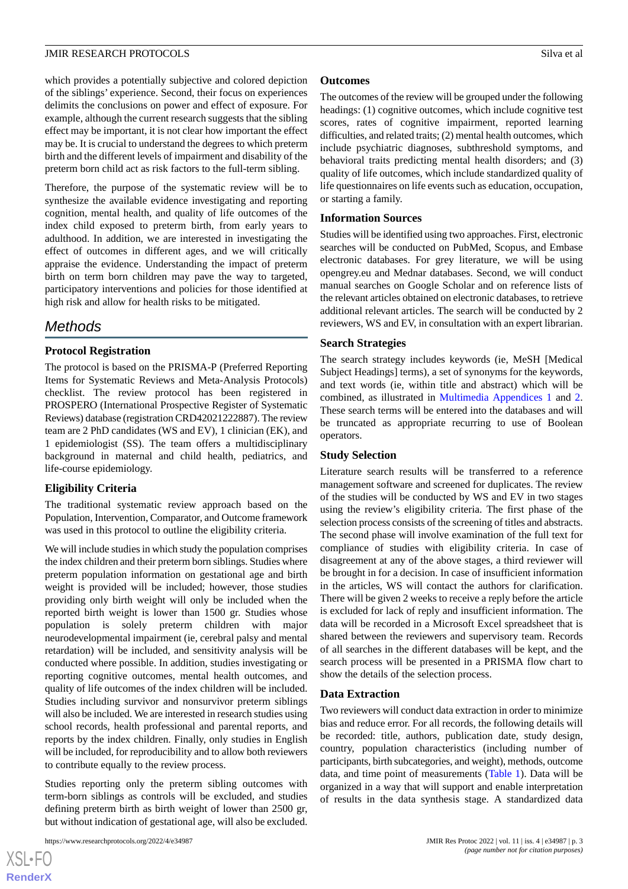which provides a potentially subjective and colored depiction of the siblings' experience. Second, their focus on experiences delimits the conclusions on power and effect of exposure. For example, although the current research suggests that the sibling effect may be important, it is not clear how important the effect may be. It is crucial to understand the degrees to which preterm birth and the different levels of impairment and disability of the preterm born child act as risk factors to the full-term sibling.

Therefore, the purpose of the systematic review will be to synthesize the available evidence investigating and reporting cognition, mental health, and quality of life outcomes of the index child exposed to preterm birth, from early years to adulthood. In addition, we are interested in investigating the effect of outcomes in different ages, and we will critically appraise the evidence. Understanding the impact of preterm birth on term born children may pave the way to targeted, participatory interventions and policies for those identified at high risk and allow for health risks to be mitigated.

# *Methods*

# **Protocol Registration**

The protocol is based on the PRISMA-P (Preferred Reporting Items for Systematic Reviews and Meta-Analysis Protocols) checklist. The review protocol has been registered in PROSPERO (International Prospective Register of Systematic Reviews) database (registration CRD42021222887). The review team are 2 PhD candidates (WS and EV), 1 clinician (EK), and 1 epidemiologist (SS). The team offers a multidisciplinary background in maternal and child health, pediatrics, and life-course epidemiology.

#### **Eligibility Criteria**

The traditional systematic review approach based on the Population, Intervention, Comparator, and Outcome framework was used in this protocol to outline the eligibility criteria.

We will include studies in which study the population comprises the index children and their preterm born siblings. Studies where preterm population information on gestational age and birth weight is provided will be included; however, those studies providing only birth weight will only be included when the reported birth weight is lower than 1500 gr. Studies whose population is solely preterm children with major neurodevelopmental impairment (ie, cerebral palsy and mental retardation) will be included, and sensitivity analysis will be conducted where possible. In addition, studies investigating or reporting cognitive outcomes, mental health outcomes, and quality of life outcomes of the index children will be included. Studies including survivor and nonsurvivor preterm siblings will also be included. We are interested in research studies using school records, health professional and parental reports, and reports by the index children. Finally, only studies in English will be included, for reproducibility and to allow both reviewers to contribute equally to the review process.

Studies reporting only the preterm sibling outcomes with term-born siblings as controls will be excluded, and studies defining preterm birth as birth weight of lower than 2500 gr, but without indication of gestational age, will also be excluded.

[XSL](http://www.w3.org/Style/XSL)•FO **[RenderX](http://www.renderx.com/)**

#### **Outcomes**

The outcomes of the review will be grouped under the following headings: (1) cognitive outcomes, which include cognitive test scores, rates of cognitive impairment, reported learning difficulties, and related traits; (2) mental health outcomes, which include psychiatric diagnoses, subthreshold symptoms, and behavioral traits predicting mental health disorders; and (3) quality of life outcomes, which include standardized quality of life questionnaires on life events such as education, occupation, or starting a family.

#### **Information Sources**

Studies will be identified using two approaches. First, electronic searches will be conducted on PubMed, Scopus, and Embase electronic databases. For grey literature, we will be using opengrey.eu and Mednar databases. Second, we will conduct manual searches on Google Scholar and on reference lists of the relevant articles obtained on electronic databases, to retrieve additional relevant articles. The search will be conducted by 2 reviewers, WS and EV, in consultation with an expert librarian.

#### **Search Strategies**

The search strategy includes keywords (ie, MeSH [Medical Subject Headings] terms), a set of synonyms for the keywords, and text words (ie, within title and abstract) which will be combined, as illustrated in [Multimedia Appendices 1](#page-4-5) and [2](#page-4-6). These search terms will be entered into the databases and will be truncated as appropriate recurring to use of Boolean operators.

#### **Study Selection**

Literature search results will be transferred to a reference management software and screened for duplicates. The review of the studies will be conducted by WS and EV in two stages using the review's eligibility criteria. The first phase of the selection process consists of the screening of titles and abstracts. The second phase will involve examination of the full text for compliance of studies with eligibility criteria. In case of disagreement at any of the above stages, a third reviewer will be brought in for a decision. In case of insufficient information in the articles, WS will contact the authors for clarification. There will be given 2 weeks to receive a reply before the article is excluded for lack of reply and insufficient information. The data will be recorded in a Microsoft Excel spreadsheet that is shared between the reviewers and supervisory team. Records of all searches in the different databases will be kept, and the search process will be presented in a PRISMA flow chart to show the details of the selection process.

#### **Data Extraction**

Two reviewers will conduct data extraction in order to minimize bias and reduce error. For all records, the following details will be recorded: title, authors, publication date, study design, country, population characteristics (including number of participants, birth subcategories, and weight), methods, outcome data, and time point of measurements [\(Table 1\)](#page-3-0). Data will be organized in a way that will support and enable interpretation of results in the data synthesis stage. A standardized data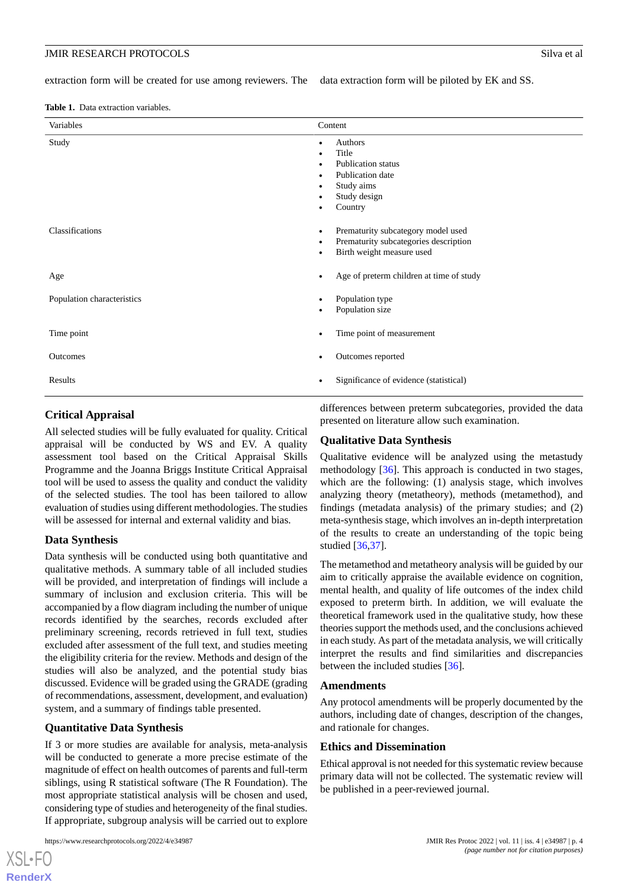extraction form will be created for use among reviewers. The data extraction form will be piloted by EK and SS.

<span id="page-3-0"></span>**Table 1.** Data extraction variables.

| Variables                  | Content                                                                                                         |
|----------------------------|-----------------------------------------------------------------------------------------------------------------|
| Study                      | Authors<br>٠<br>Title<br><b>Publication status</b><br>Publication date<br>Study aims<br>Study design<br>Country |
| Classifications            | Prematurity subcategory model used<br>Prematurity subcategories description<br>٠<br>Birth weight measure used   |
| Age                        | Age of preterm children at time of study                                                                        |
| Population characteristics | Population type<br>Population size                                                                              |
| Time point                 | Time point of measurement                                                                                       |
| Outcomes                   | Outcomes reported                                                                                               |
| Results                    | Significance of evidence (statistical)                                                                          |

#### **Critical Appraisal**

All selected studies will be fully evaluated for quality. Critical appraisal will be conducted by WS and EV. A quality assessment tool based on the Critical Appraisal Skills Programme and the Joanna Briggs Institute Critical Appraisal tool will be used to assess the quality and conduct the validity of the selected studies. The tool has been tailored to allow evaluation of studies using different methodologies. The studies will be assessed for internal and external validity and bias.

#### **Data Synthesis**

Data synthesis will be conducted using both quantitative and qualitative methods. A summary table of all included studies will be provided, and interpretation of findings will include a summary of inclusion and exclusion criteria. This will be accompanied by a flow diagram including the number of unique records identified by the searches, records excluded after preliminary screening, records retrieved in full text, studies excluded after assessment of the full text, and studies meeting the eligibility criteria for the review. Methods and design of the studies will also be analyzed, and the potential study bias discussed. Evidence will be graded using the GRADE (grading of recommendations, assessment, development, and evaluation) system, and a summary of findings table presented.

#### **Quantitative Data Synthesis**

If 3 or more studies are available for analysis, meta-analysis will be conducted to generate a more precise estimate of the magnitude of effect on health outcomes of parents and full-term siblings, using R statistical software (The R Foundation). The most appropriate statistical analysis will be chosen and used, considering type of studies and heterogeneity of the final studies. If appropriate, subgroup analysis will be carried out to explore

[XSL](http://www.w3.org/Style/XSL)•FO **[RenderX](http://www.renderx.com/)**

differences between preterm subcategories, provided the data presented on literature allow such examination.

#### **Qualitative Data Synthesis**

Qualitative evidence will be analyzed using the metastudy methodology [[36\]](#page-6-7). This approach is conducted in two stages, which are the following: (1) analysis stage, which involves analyzing theory (metatheory), methods (metamethod), and findings (metadata analysis) of the primary studies; and (2) meta-synthesis stage, which involves an in-depth interpretation of the results to create an understanding of the topic being studied [\[36](#page-6-7),[37\]](#page-6-8).

The metamethod and metatheory analysis will be guided by our aim to critically appraise the available evidence on cognition, mental health, and quality of life outcomes of the index child exposed to preterm birth. In addition, we will evaluate the theoretical framework used in the qualitative study, how these theories support the methods used, and the conclusions achieved in each study. As part of the metadata analysis, we will critically interpret the results and find similarities and discrepancies between the included studies [[36\]](#page-6-7).

#### **Amendments**

Any protocol amendments will be properly documented by the authors, including date of changes, description of the changes, and rationale for changes.

#### **Ethics and Dissemination**

Ethical approval is not needed for this systematic review because primary data will not be collected. The systematic review will be published in a peer-reviewed journal.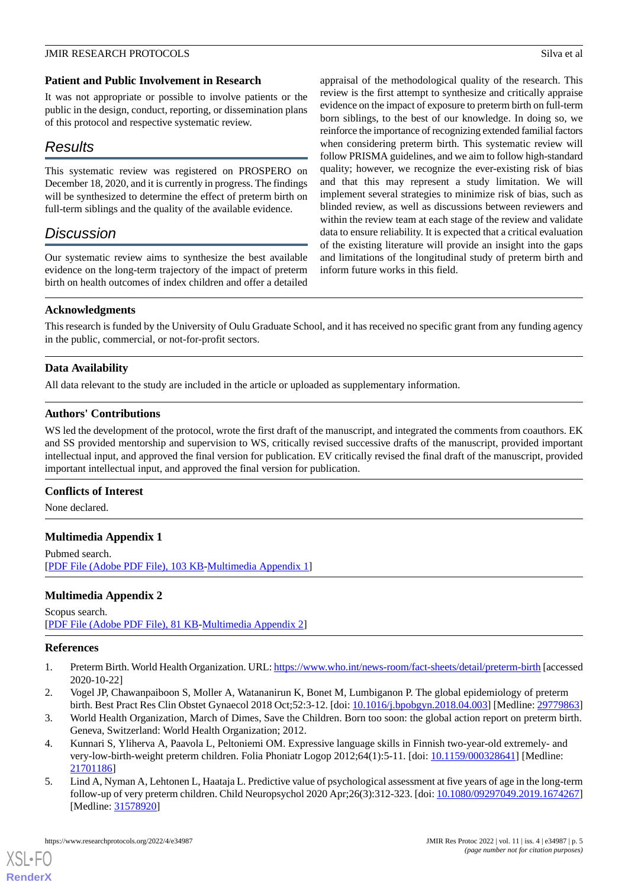#### **Patient and Public Involvement in Research**

It was not appropriate or possible to involve patients or the public in the design, conduct, reporting, or dissemination plans of this protocol and respective systematic review.

# *Results*

This systematic review was registered on PROSPERO on December 18, 2020, and it is currently in progress. The findings will be synthesized to determine the effect of preterm birth on full-term siblings and the quality of the available evidence.

# *Discussion*

Our systematic review aims to synthesize the best available evidence on the long-term trajectory of the impact of preterm birth on health outcomes of index children and offer a detailed

appraisal of the methodological quality of the research. This review is the first attempt to synthesize and critically appraise evidence on the impact of exposure to preterm birth on full-term born siblings, to the best of our knowledge. In doing so, we reinforce the importance of recognizing extended familial factors when considering preterm birth. This systematic review will follow PRISMA guidelines, and we aim to follow high-standard quality; however, we recognize the ever-existing risk of bias and that this may represent a study limitation. We will implement several strategies to minimize risk of bias, such as blinded review, as well as discussions between reviewers and within the review team at each stage of the review and validate data to ensure reliability. It is expected that a critical evaluation of the existing literature will provide an insight into the gaps and limitations of the longitudinal study of preterm birth and inform future works in this field.

#### **Acknowledgments**

This research is funded by the University of Oulu Graduate School, and it has received no specific grant from any funding agency in the public, commercial, or not-for-profit sectors.

# **Data Availability**

All data relevant to the study are included in the article or uploaded as supplementary information.

# **Authors' Contributions**

WS led the development of the protocol, wrote the first draft of the manuscript, and integrated the comments from coauthors. EK and SS provided mentorship and supervision to WS, critically revised successive drafts of the manuscript, provided important intellectual input, and approved the final version for publication. EV critically revised the final draft of the manuscript, provided important intellectual input, and approved the final version for publication.

#### <span id="page-4-5"></span>**Conflicts of Interest**

None declared.

# <span id="page-4-6"></span>**Multimedia Appendix 1**

Pubmed search. [[PDF File \(Adobe PDF File\), 103 KB](https://jmir.org/api/download?alt_name=resprot_v11i4e34987_app1.pdf&filename=d69494d633c85c52b2598a8d8688cfe4.pdf)-[Multimedia Appendix 1\]](https://jmir.org/api/download?alt_name=resprot_v11i4e34987_app1.pdf&filename=d69494d633c85c52b2598a8d8688cfe4.pdf)

# <span id="page-4-0"></span>**Multimedia Appendix 2**

#### <span id="page-4-1"></span>Scopus search. [[PDF File \(Adobe PDF File\), 81 KB](https://jmir.org/api/download?alt_name=resprot_v11i4e34987_app2.pdf&filename=a4ef66bded3411e5558a9d536d6dc6c5.pdf)-[Multimedia Appendix 2\]](https://jmir.org/api/download?alt_name=resprot_v11i4e34987_app2.pdf&filename=a4ef66bded3411e5558a9d536d6dc6c5.pdf)

#### <span id="page-4-2"></span>**References**

[XSL](http://www.w3.org/Style/XSL)•FO **[RenderX](http://www.renderx.com/)**

- <span id="page-4-3"></span>1. Preterm Birth. World Health Organization. URL:<https://www.who.int/news-room/fact-sheets/detail/preterm-birth> [accessed 2020-10-22]
- <span id="page-4-4"></span>2. Vogel JP, Chawanpaiboon S, Moller A, Watananirun K, Bonet M, Lumbiganon P. The global epidemiology of preterm birth. Best Pract Res Clin Obstet Gynaecol 2018 Oct;52:3-12. [doi: [10.1016/j.bpobgyn.2018.04.003](http://dx.doi.org/10.1016/j.bpobgyn.2018.04.003)] [Medline: [29779863](http://www.ncbi.nlm.nih.gov/entrez/query.fcgi?cmd=Retrieve&db=PubMed&list_uids=29779863&dopt=Abstract)]
- 3. World Health Organization, March of Dimes, Save the Children. Born too soon: the global action report on preterm birth. Geneva, Switzerland: World Health Organization; 2012.
- 4. Kunnari S, Yliherva A, Paavola L, Peltoniemi OM. Expressive language skills in Finnish two-year-old extremely- and very-low-birth-weight preterm children. Folia Phoniatr Logop 2012;64(1):5-11. [doi: [10.1159/000328641\]](http://dx.doi.org/10.1159/000328641) [Medline: [21701186](http://www.ncbi.nlm.nih.gov/entrez/query.fcgi?cmd=Retrieve&db=PubMed&list_uids=21701186&dopt=Abstract)]
- 5. Lind A, Nyman A, Lehtonen L, Haataja L. Predictive value of psychological assessment at five years of age in the long-term follow-up of very preterm children. Child Neuropsychol 2020 Apr;26(3):312-323. [doi: [10.1080/09297049.2019.1674267](http://dx.doi.org/10.1080/09297049.2019.1674267)] [Medline: [31578920](http://www.ncbi.nlm.nih.gov/entrez/query.fcgi?cmd=Retrieve&db=PubMed&list_uids=31578920&dopt=Abstract)]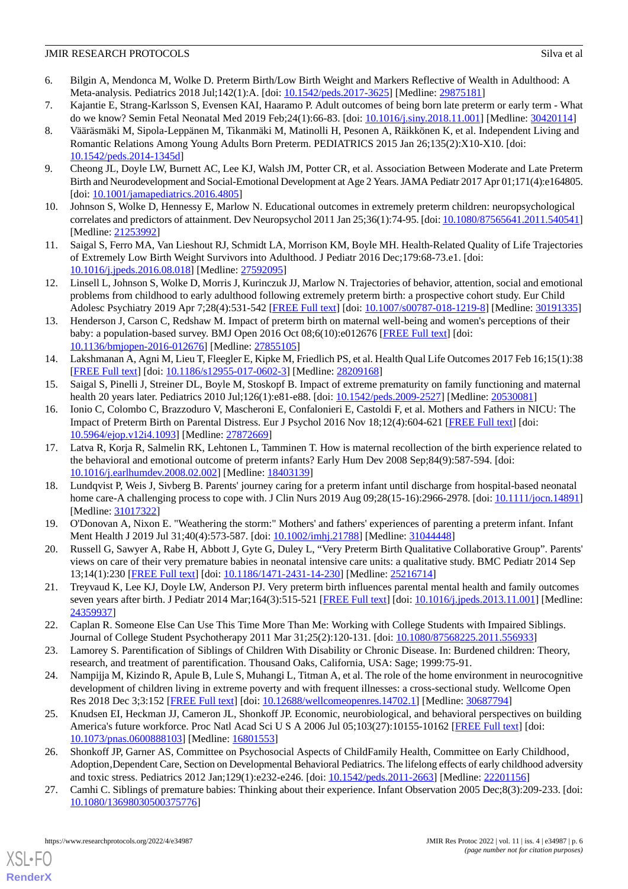- <span id="page-5-0"></span>6. Bilgin A, Mendonca M, Wolke D. Preterm Birth/Low Birth Weight and Markers Reflective of Wealth in Adulthood: A Meta-analysis. Pediatrics 2018 Jul;142(1):A. [doi: [10.1542/peds.2017-3625](http://dx.doi.org/10.1542/peds.2017-3625)] [Medline: [29875181\]](http://www.ncbi.nlm.nih.gov/entrez/query.fcgi?cmd=Retrieve&db=PubMed&list_uids=29875181&dopt=Abstract)
- <span id="page-5-1"></span>7. Kajantie E, Strang-Karlsson S, Evensen KAI, Haaramo P. Adult outcomes of being born late preterm or early term - What do we know? Semin Fetal Neonatal Med 2019 Feb;24(1):66-83. [doi: [10.1016/j.siny.2018.11.001\]](http://dx.doi.org/10.1016/j.siny.2018.11.001) [Medline: [30420114](http://www.ncbi.nlm.nih.gov/entrez/query.fcgi?cmd=Retrieve&db=PubMed&list_uids=30420114&dopt=Abstract)]
- 8. Vääräsmäki M, Sipola-Leppänen M, Tikanmäki M, Matinolli H, Pesonen A, Räikkönen K, et al. Independent Living and Romantic Relations Among Young Adults Born Preterm. PEDIATRICS 2015 Jan 26;135(2):X10-X10. [doi: [10.1542/peds.2014-1345d\]](http://dx.doi.org/10.1542/peds.2014-1345d)
- <span id="page-5-3"></span><span id="page-5-2"></span>9. Cheong JL, Doyle LW, Burnett AC, Lee KJ, Walsh JM, Potter CR, et al. Association Between Moderate and Late Preterm Birth and Neurodevelopment and Social-Emotional Development at Age 2 Years. JAMA Pediatr 2017 Apr 01;171(4):e164805. [doi: [10.1001/jamapediatrics.2016.4805](http://dx.doi.org/10.1001/jamapediatrics.2016.4805)]
- <span id="page-5-4"></span>10. Johnson S, Wolke D, Hennessy E, Marlow N. Educational outcomes in extremely preterm children: neuropsychological correlates and predictors of attainment. Dev Neuropsychol 2011 Jan 25;36(1):74-95. [doi: [10.1080/87565641.2011.540541](http://dx.doi.org/10.1080/87565641.2011.540541)] [Medline: [21253992](http://www.ncbi.nlm.nih.gov/entrez/query.fcgi?cmd=Retrieve&db=PubMed&list_uids=21253992&dopt=Abstract)]
- <span id="page-5-5"></span>11. Saigal S, Ferro MA, Van Lieshout RJ, Schmidt LA, Morrison KM, Boyle MH. Health-Related Quality of Life Trajectories of Extremely Low Birth Weight Survivors into Adulthood. J Pediatr 2016 Dec;179:68-73.e1. [doi: [10.1016/j.jpeds.2016.08.018\]](http://dx.doi.org/10.1016/j.jpeds.2016.08.018) [Medline: [27592095](http://www.ncbi.nlm.nih.gov/entrez/query.fcgi?cmd=Retrieve&db=PubMed&list_uids=27592095&dopt=Abstract)]
- <span id="page-5-6"></span>12. Linsell L, Johnson S, Wolke D, Morris J, Kurinczuk JJ, Marlow N. Trajectories of behavior, attention, social and emotional problems from childhood to early adulthood following extremely preterm birth: a prospective cohort study. Eur Child Adolesc Psychiatry 2019 Apr 7;28(4):531-542 [\[FREE Full text\]](http://europepmc.org/abstract/MED/30191335) [doi: [10.1007/s00787-018-1219-8](http://dx.doi.org/10.1007/s00787-018-1219-8)] [Medline: [30191335](http://www.ncbi.nlm.nih.gov/entrez/query.fcgi?cmd=Retrieve&db=PubMed&list_uids=30191335&dopt=Abstract)]
- 13. Henderson J, Carson C, Redshaw M. Impact of preterm birth on maternal well-being and women's perceptions of their baby: a population-based survey. BMJ Open 2016 Oct 08;6(10):e012676 [\[FREE Full text\]](https://bmjopen.bmj.com/lookup/pmidlookup?view=long&pmid=27855105) [doi: [10.1136/bmjopen-2016-012676\]](http://dx.doi.org/10.1136/bmjopen-2016-012676) [Medline: [27855105](http://www.ncbi.nlm.nih.gov/entrez/query.fcgi?cmd=Retrieve&db=PubMed&list_uids=27855105&dopt=Abstract)]
- <span id="page-5-8"></span><span id="page-5-7"></span>14. Lakshmanan A, Agni M, Lieu T, Fleegler E, Kipke M, Friedlich PS, et al. Health Qual Life Outcomes 2017 Feb 16;15(1):38 [[FREE Full text](https://hqlo.biomedcentral.com/articles/10.1186/s12955-017-0602-3)] [doi: [10.1186/s12955-017-0602-3\]](http://dx.doi.org/10.1186/s12955-017-0602-3) [Medline: [28209168](http://www.ncbi.nlm.nih.gov/entrez/query.fcgi?cmd=Retrieve&db=PubMed&list_uids=28209168&dopt=Abstract)]
- 15. Saigal S, Pinelli J, Streiner DL, Boyle M, Stoskopf B. Impact of extreme prematurity on family functioning and maternal health 20 years later. Pediatrics 2010 Jul;126(1):e81-e88. [doi: [10.1542/peds.2009-2527](http://dx.doi.org/10.1542/peds.2009-2527)] [Medline: [20530081\]](http://www.ncbi.nlm.nih.gov/entrez/query.fcgi?cmd=Retrieve&db=PubMed&list_uids=20530081&dopt=Abstract)
- 16. Ionio C, Colombo C, Brazzoduro V, Mascheroni E, Confalonieri E, Castoldi F, et al. Mothers and Fathers in NICU: The Impact of Preterm Birth on Parental Distress. Eur J Psychol 2016 Nov 18;12(4):604-621 [[FREE Full text](http://europepmc.org/abstract/MED/27872669)] [doi: [10.5964/ejop.v12i4.1093\]](http://dx.doi.org/10.5964/ejop.v12i4.1093) [Medline: [27872669\]](http://www.ncbi.nlm.nih.gov/entrez/query.fcgi?cmd=Retrieve&db=PubMed&list_uids=27872669&dopt=Abstract)
- 17. Latva R, Korja R, Salmelin RK, Lehtonen L, Tamminen T. How is maternal recollection of the birth experience related to the behavioral and emotional outcome of preterm infants? Early Hum Dev 2008 Sep;84(9):587-594. [doi: [10.1016/j.earlhumdev.2008.02.002\]](http://dx.doi.org/10.1016/j.earlhumdev.2008.02.002) [Medline: [18403139\]](http://www.ncbi.nlm.nih.gov/entrez/query.fcgi?cmd=Retrieve&db=PubMed&list_uids=18403139&dopt=Abstract)
- 18. Lundqvist P, Weis J, Sivberg B. Parents' journey caring for a preterm infant until discharge from hospital-based neonatal home care-A challenging process to cope with. J Clin Nurs 2019 Aug 09;28(15-16):2966-2978. [doi: [10.1111/jocn.14891](http://dx.doi.org/10.1111/jocn.14891)] [Medline: [31017322](http://www.ncbi.nlm.nih.gov/entrez/query.fcgi?cmd=Retrieve&db=PubMed&list_uids=31017322&dopt=Abstract)]
- <span id="page-5-9"></span>19. O'Donovan A, Nixon E. "Weathering the storm:" Mothers' and fathers' experiences of parenting a preterm infant. Infant Ment Health J 2019 Jul 31;40(4):573-587. [doi: [10.1002/imhj.21788](http://dx.doi.org/10.1002/imhj.21788)] [Medline: [31044448](http://www.ncbi.nlm.nih.gov/entrez/query.fcgi?cmd=Retrieve&db=PubMed&list_uids=31044448&dopt=Abstract)]
- <span id="page-5-10"></span>20. Russell G, Sawyer A, Rabe H, Abbott J, Gyte G, Duley L, "Very Preterm Birth Qualitative Collaborative Group". Parents' views on care of their very premature babies in neonatal intensive care units: a qualitative study. BMC Pediatr 2014 Sep 13;14(1):230 [[FREE Full text\]](https://bmcpediatr.biomedcentral.com/articles/10.1186/1471-2431-14-230) [doi: [10.1186/1471-2431-14-230](http://dx.doi.org/10.1186/1471-2431-14-230)] [Medline: [25216714](http://www.ncbi.nlm.nih.gov/entrez/query.fcgi?cmd=Retrieve&db=PubMed&list_uids=25216714&dopt=Abstract)]
- <span id="page-5-11"></span>21. Treyvaud K, Lee KJ, Doyle LW, Anderson PJ. Very preterm birth influences parental mental health and family outcomes seven years after birth. J Pediatr 2014 Mar;164(3):515-521 [\[FREE Full text](http://europepmc.org/abstract/MED/24359937)] [doi: [10.1016/j.jpeds.2013.11.001\]](http://dx.doi.org/10.1016/j.jpeds.2013.11.001) [Medline: [24359937](http://www.ncbi.nlm.nih.gov/entrez/query.fcgi?cmd=Retrieve&db=PubMed&list_uids=24359937&dopt=Abstract)]
- <span id="page-5-12"></span>22. Caplan R. Someone Else Can Use This Time More Than Me: Working with College Students with Impaired Siblings. Journal of College Student Psychotherapy 2011 Mar 31;25(2):120-131. [doi: [10.1080/87568225.2011.556933\]](http://dx.doi.org/10.1080/87568225.2011.556933)
- <span id="page-5-13"></span>23. Lamorey S. Parentification of Siblings of Children With Disability or Chronic Disease. In: Burdened children: Theory, research, and treatment of parentification. Thousand Oaks, California, USA: Sage; 1999:75-91.
- <span id="page-5-14"></span>24. Nampijja M, Kizindo R, Apule B, Lule S, Muhangi L, Titman A, et al. The role of the home environment in neurocognitive development of children living in extreme poverty and with frequent illnesses: a cross-sectional study. Wellcome Open Res 2018 Dec 3;3:152 [[FREE Full text\]](http://europepmc.org/abstract/MED/30687794) [doi: [10.12688/wellcomeopenres.14702.1](http://dx.doi.org/10.12688/wellcomeopenres.14702.1)] [Medline: [30687794](http://www.ncbi.nlm.nih.gov/entrez/query.fcgi?cmd=Retrieve&db=PubMed&list_uids=30687794&dopt=Abstract)]
- <span id="page-5-15"></span>25. Knudsen EI, Heckman JJ, Cameron JL, Shonkoff JP. Economic, neurobiological, and behavioral perspectives on building America's future workforce. Proc Natl Acad Sci U S A 2006 Jul 05;103(27):10155-10162 [[FREE Full text\]](http://europepmc.org/abstract/MED/16801553) [doi: [10.1073/pnas.0600888103\]](http://dx.doi.org/10.1073/pnas.0600888103) [Medline: [16801553](http://www.ncbi.nlm.nih.gov/entrez/query.fcgi?cmd=Retrieve&db=PubMed&list_uids=16801553&dopt=Abstract)]
- 26. Shonkoff JP, Garner AS, Committee on Psychosocial Aspects of ChildFamily Health, Committee on Early Childhood' Adoption, Dependent Care, Section on Developmental Behavioral Pediatrics. The lifelong effects of early childhood adversity and toxic stress. Pediatrics 2012 Jan;129(1):e232-e246. [doi: [10.1542/peds.2011-2663](http://dx.doi.org/10.1542/peds.2011-2663)] [Medline: [22201156\]](http://www.ncbi.nlm.nih.gov/entrez/query.fcgi?cmd=Retrieve&db=PubMed&list_uids=22201156&dopt=Abstract)
- 27. Camhi C. Siblings of premature babies: Thinking about their experience. Infant Observation 2005 Dec;8(3):209-233. [doi: [10.1080/13698030500375776\]](http://dx.doi.org/10.1080/13698030500375776)

[XSL](http://www.w3.org/Style/XSL)•FO **[RenderX](http://www.renderx.com/)**